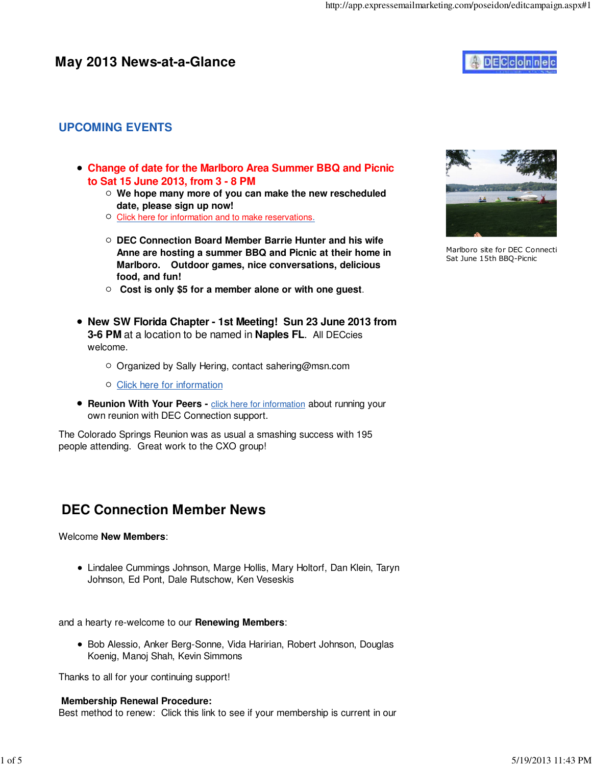### **May 2013 News-at-a-Glance**



### **UPCOMING EVENTS**

- **Change of date for the Marlboro Area Summer BBQ and Picnic to Sat 15 June 2013, from 3 - 8 PM**
	- **We hope many more of you can make the new rescheduled date, please sign up now!**
	- O Click here for information and to make reservations.
	- **DEC Connection Board Member Barrie Hunter and his wife Anne are hosting a summer BBQ and Picnic at their home in Marlboro. Outdoor games, nice conversations, delicious food, and fun!**
	- **Cost is only \$5 for a member alone or with one guest**.
- **New SW Florida Chapter 1st Meeting! Sun 23 June 2013 from 3-6 PM** at a location to be named in **Naples FL**. All DECcies welcome.
	- Organized by Sally Hering, contact sahering@msn.com
	- Click here for information
- **Reunion With Your Peers click here for information about running your** own reunion with DEC Connection support.

The Colorado Springs Reunion was as usual a smashing success with 195 people attending. Great work to the CXO group!

## **DEC Connection Member News**

#### Welcome **New Members**:

Lindalee Cummings Johnson, Marge Hollis, Mary Holtorf, Dan Klein, Taryn Johnson, Ed Pont, Dale Rutschow, Ken Veseskis

and a hearty re-welcome to our **Renewing Members**:

Bob Alessio, Anker Berg-Sonne, Vida Haririan, Robert Johnson, Douglas Koenig, Manoj Shah, Kevin Simmons

Thanks to all for your continuing support!

#### **Membership Renewal Procedure:**

Best method to renew: Click this link to see if your membership is current in our



Marlboro site for DEC Connecti Sat June 15th BBQ-Picnic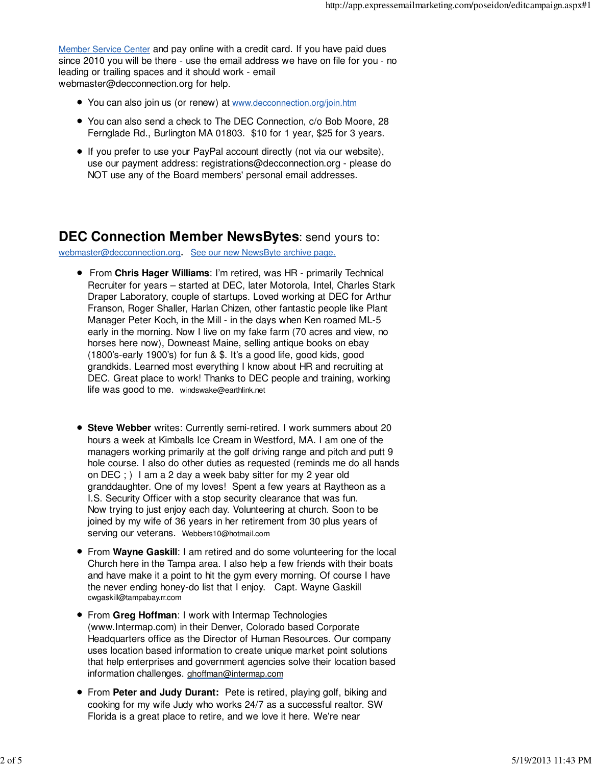Member Service Center and pay online with a credit card. If you have paid dues since 2010 you will be there - use the email address we have on file for you - no leading or trailing spaces and it should work - email webmaster@decconnection.org for help.

- You can also join us (or renew) at www.decconnection.org/join.htm
- You can also send a check to The DEC Connection, c/o Bob Moore, 28 Fernglade Rd., Burlington MA 01803. \$10 for 1 year, \$25 for 3 years.
- If you prefer to use your PayPal account directly (not via our website), use our payment address: registrations@decconnection.org - please do NOT use any of the Board members' personal email addresses.

### **DEC Connection Member NewsBytes**: send yours to:

webmaster@decconnection.org. See our new NewsByte archive page.

- From **Chris Hager Williams**: I'm retired, was HR primarily Technical Recruiter for years – started at DEC, later Motorola, Intel, Charles Stark Draper Laboratory, couple of startups. Loved working at DEC for Arthur Franson, Roger Shaller, Harlan Chizen, other fantastic people like Plant Manager Peter Koch, in the Mill - in the days when Ken roamed ML-5 early in the morning. Now I live on my fake farm (70 acres and view, no horses here now), Downeast Maine, selling antique books on ebay (1800's-early 1900's) for fun & \$. It's a good life, good kids, good grandkids. Learned most everything I know about HR and recruiting at DEC. Great place to work! Thanks to DEC people and training, working life was good to me. windswake@earthlink.net
- **Steve Webber** writes: Currently semi-retired. I work summers about 20 hours a week at Kimballs Ice Cream in Westford, MA. I am one of the managers working primarily at the golf driving range and pitch and putt 9 hole course. I also do other duties as requested (reminds me do all hands on DEC ; ) I am a 2 day a week baby sitter for my 2 year old granddaughter. One of my loves! Spent a few years at Raytheon as a I.S. Security Officer with a stop security clearance that was fun. Now trying to just enjoy each day. Volunteering at church. Soon to be joined by my wife of 36 years in her retirement from 30 plus years of serving our veterans. Webbers10@hotmail.com
- From **Wayne Gaskill**: I am retired and do some volunteering for the local Church here in the Tampa area. I also help a few friends with their boats and have make it a point to hit the gym every morning. Of course I have the never ending honey-do list that I enjoy. Capt. Wayne Gaskill cwgaskill@tampabay.rr.com
- From **Greg Hoffman**: I work with Intermap Technologies (www.Intermap.com) in their Denver, Colorado based Corporate Headquarters office as the Director of Human Resources. Our company uses location based information to create unique market point solutions that help enterprises and government agencies solve their location based information challenges. ghoffman@intermap.com
- From **Peter and Judy Durant:** Pete is retired, playing golf, biking and cooking for my wife Judy who works 24/7 as a successful realtor. SW Florida is a great place to retire, and we love it here. We're near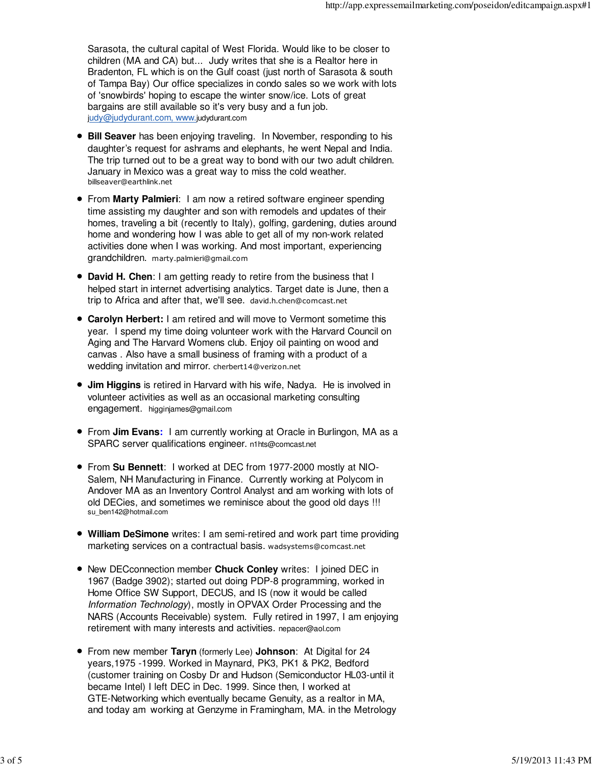Sarasota, the cultural capital of West Florida. Would like to be closer to children (MA and CA) but... Judy writes that she is a Realtor here in Bradenton, FL which is on the Gulf coast (just north of Sarasota & south of Tampa Bay) Our office specializes in condo sales so we work with lots of 'snowbirds' hoping to escape the winter snow/ice. Lots of great bargains are still available so it's very busy and a fun job. judy@judydurant.com, www.judydurant.com

- **Bill Seaver** has been enjoying traveling. In November, responding to his daughter's request for ashrams and elephants, he went Nepal and India. The trip turned out to be a great way to bond with our two adult children. January in Mexico was a great way to miss the cold weather. billseaver@earthlink.net
- From **Marty Palmieri**: I am now a retired software engineer spending time assisting my daughter and son with remodels and updates of their homes, traveling a bit (recently to Italy), golfing, gardening, duties around home and wondering how I was able to get all of my non-work related activities done when I was working. And most important, experiencing grandchildren. marty.palmieri@gmail.com
- **David H. Chen**: I am getting ready to retire from the business that I helped start in internet advertising analytics. Target date is June, then a trip to Africa and after that, we'll see. david.h.chen@comcast.net
- **Carolyn Herbert:** I am retired and will move to Vermont sometime this year. I spend my time doing volunteer work with the Harvard Council on Aging and The Harvard Womens club. Enjoy oil painting on wood and canvas . Also have a small business of framing with a product of a wedding invitation and mirror. cherbert14@verizon.net
- **Jim Higgins** is retired in Harvard with his wife, Nadya. He is involved in volunteer activities as well as an occasional marketing consulting engagement. higginjames@gmail.com
- From **Jim Evans:** I am currently working at Oracle in Burlingon, MA as a SPARC server qualifications engineer. n1hts@comcast.net
- From **Su Bennett**: I worked at DEC from 1977-2000 mostly at NIO-Salem, NH Manufacturing in Finance. Currently working at Polycom in Andover MA as an Inventory Control Analyst and am working with lots of old DECies, and sometimes we reminisce about the good old days !!! su\_ben142@hotmail.com
- **William DeSimone** writes: I am semi-retired and work part time providing marketing services on a contractual basis. wadsystems@comcast.net
- New DECconnection member **Chuck Conley** writes: I joined DEC in 1967 (Badge 3902); started out doing PDP-8 programming, worked in Home Office SW Support, DECUS, and IS (now it would be called Information Technology), mostly in OPVAX Order Processing and the NARS (Accounts Receivable) system. Fully retired in 1997, I am enjoying retirement with many interests and activities. nepacer@aol.com
- From new member **Taryn** (formerly Lee) **Johnson**: At Digital for 24 years,1975 -1999. Worked in Maynard, PK3, PK1 & PK2, Bedford (customer training on Cosby Dr and Hudson (Semiconductor HL03-until it became Intel) I left DEC in Dec. 1999. Since then, I worked at GTE-Networking which eventually became Genuity, as a realtor in MA, and today am working at Genzyme in Framingham, MA. in the Metrology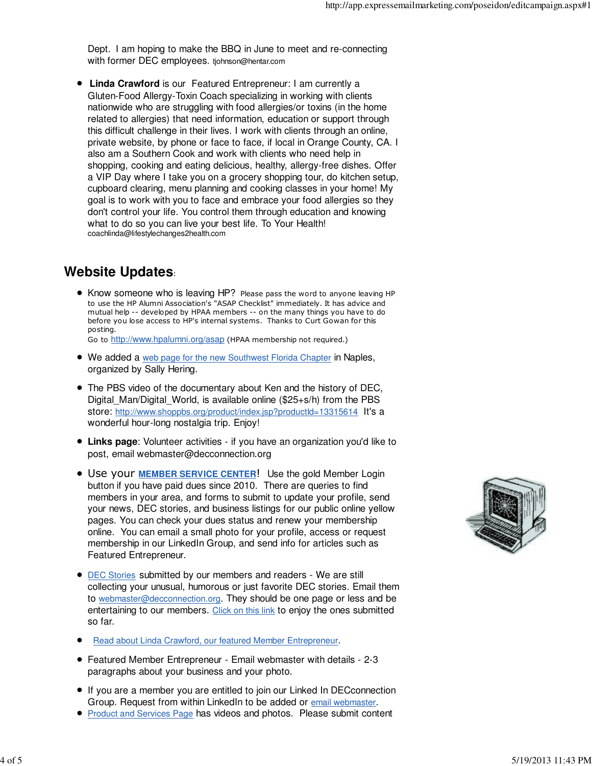Dept. I am hoping to make the BBQ in June to meet and re-connecting with former DEC employees. tjohnson@hentar.com

**Linda Crawford** is our Featured Entrepreneur: I am currently a Gluten-Food Allergy-Toxin Coach specializing in working with clients nationwide who are struggling with food allergies/or toxins (in the home related to allergies) that need information, education or support through this difficult challenge in their lives. I work with clients through an online, private website, by phone or face to face, if local in Orange County, CA. I also am a Southern Cook and work with clients who need help in shopping, cooking and eating delicious, healthy, allergy-free dishes. Offer a VIP Day where I take you on a grocery shopping tour, do kitchen setup, cupboard clearing, menu planning and cooking classes in your home! My goal is to work with you to face and embrace your food allergies so they don't control your life. You control them through education and knowing what to do so you can live your best life. To Your Health! coachlinda@lifestylechanges2health.com

# **Website Updates**:

• Know someone who is leaving HP? Please pass the word to anyone leaving HP to use the HP Alumni Association's "ASAP Checklist" immediately. It has advice and mutual help -- developed by HPAA members -- on the many things you have to do before you lose access to HP's internal systems. Thanks to Curt Gowan for this posting.

Go to http://www.hpalumni.org/asap (HPAA membership not required.)

- We added a web page for the new Southwest Florida Chapter in Naples, organized by Sally Hering.
- The PBS video of the documentary about Ken and the history of DEC, Digital Man/Digital World, is available online ( $$25+s/h$ ) from the PBS store: http://www.shoppbs.org/product/index.jsp?productId=13315614 It's a wonderful hour-long nostalgia trip. Enjoy!
- **Links page**: Volunteer activities if you have an organization you'd like to post, email webmaster@decconnection.org
- Use your **MEMBER SERVICE CENTER**! Use the gold Member Login button if you have paid dues since 2010. There are queries to find members in your area, and forms to submit to update your profile, send your news, DEC stories, and business listings for our public online yellow pages. You can check your dues status and renew your membership online. You can email a small photo for your profile, access or request membership in our LinkedIn Group, and send info for articles such as Featured Entrepreneur.
- **•** DEC Stories submitted by our members and readers We are still collecting your unusual, humorous or just favorite DEC stories. Email them to webmaster@decconnection.org. They should be one page or less and be entertaining to our members. Click on this link to enjoy the ones submitted so far.
- Read about Linda Crawford, our featured Member Entrepreneur.
- Featured Member Entrepreneur Email webmaster with details 2-3 paragraphs about your business and your photo.
- If you are a member you are entitled to join our Linked In DECconnection Group. Request from within LinkedIn to be added or email webmaster.
- Product and Services Page has videos and photos. Please submit content